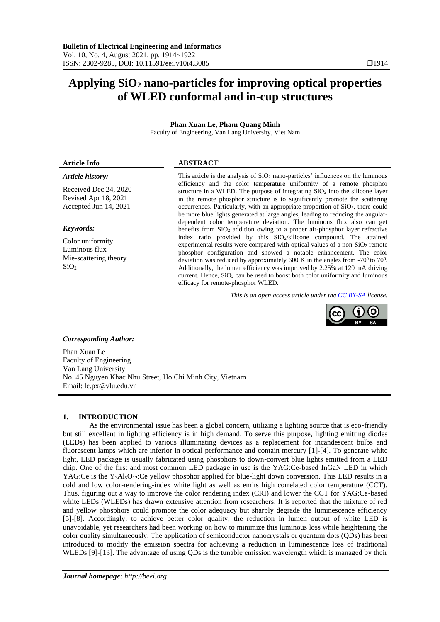# **Applying SiO<sup>2</sup> nano-particles for improving optical properties of WLED conformal and in-cup structures**

# **Phan Xuan Le, Pham Quang Minh**

Faculty of Engineering, Van Lang University, Viet Nam

# **Article Info ABSTRACT**

# *Article history:*

Received Dec 24, 2020 Revised Apr 18, 2021 Accepted Jun 14, 2021

#### *Keywords:*

Color uniformity Luminous flux Mie-scattering theory  $SiO<sub>2</sub>$ 

This article is the analysis of  $SiO<sub>2</sub>$  nano-particles' influences on the luminous efficiency and the color temperature uniformity of a remote phosphor structure in a WLED. The purpose of integrating  $SiO<sub>2</sub>$  into the silicone layer in the remote phosphor structure is to significantly promote the scattering occurrences. Particularly, with an appropriate proportion of SiO2, there could be more blue lights generated at large angles, leading to reducing the angulardependent color temperature deviation. The luminous flux also can get benefits from SiO<sub>2</sub> addition owing to a proper air-phosphor layer refractive index ratio provided by this SiO2/silicone compound. The attained experimental results were compared with optical values of a non-SiO<sub>2</sub> remote phosphor configuration and showed a notable enhancement. The color deviation was reduced by approximately 600 K in the angles from  $-70^0$  to  $70^0$ . Additionally, the lumen efficiency was improved by 2.25% at 120 mA driving current. Hence,  $SiO<sub>2</sub>$  can be used to boost both color uniformity and luminous efficacy for remote-phosphor WLED.

*This is an open access article under the CC BY-SA license.*



# *Corresponding Author:*

Phan Xuan Le Faculty of Engineering Van Lang University No. 45 Nguyen Khac Nhu Street, Ho Chi Minh City, Vietnam Email: le.px@vlu.edu.vn

# **1. INTRODUCTION**

As the environmental issue has been a global concern, utilizing a lighting source that is eco-friendly but still excellent in lighting efficiency is in high demand. To serve this purpose, lighting emitting diodes (LEDs) has been applied to various illuminating devices as a replacement for incandescent bulbs and fluorescent lamps which are inferior in optical performance and contain mercury [1]-[4]. To generate white light, LED package is usually fabricated using phosphors to down-convert blue lights emitted from a LED chip. One of the first and most common LED package in use is the YAG:Ce-based InGaN LED in which YAG:Ce is the Y<sub>3</sub>Al<sub>5</sub>O<sub>12</sub>:Ce yellow phosphor applied for blue-light down conversion. This LED results in a cold and low color-rendering-index white light as well as emits high correlated color temperature (CCT). Thus, figuring out a way to improve the color rendering index (CRI) and lower the CCT for YAG:Ce-based white LEDs (WLEDs) has drawn extensive attention from researchers. It is reported that the mixture of red and yellow phosphors could promote the color adequacy but sharply degrade the luminescence efficiency [5]-[8]. Accordingly, to achieve better color quality, the reduction in lumen output of white LED is unavoidable, yet researchers had been working on how to minimize this luminous loss while heightening the color quality simultaneously. The application of semiconductor nanocrystals or quantum dots (QDs) has been introduced to modify the emission spectra for achieving a reduction in luminescence loss of traditional WLEDs [9]-[13]. The advantage of using QDs is the tunable emission wavelength which is managed by their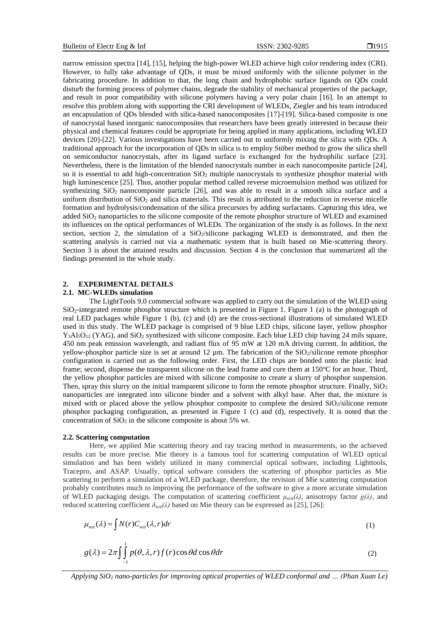narrow emission spectra [14], [15], helping the high-power WLED achieve high color rendering index (CRI). However, to fully take advantage of QDs, it must be mixed uniformly with the silicone polymer in the fabricating procedure. In addition to that, the long chain and hydrophobic surface ligands on QDs could disturb the forming process of polymer chains, degrade the stability of mechanical properties of the package, and result in poor compatibility with silicone polymers having a very polar chain [16]. In an attempt to resolve this problem along with supporting the CRI development of WLEDs, Ziegler and his team introduced an encapsulation of QDs blended with silica-based nanocomposites [17]-[19]. Silica-based composite is one of nanocrystal based inorganic nanocomposites that researchers have been greatly interested in because their physical and chemical features could be appropriate for being applied in many applications, including WLED devices [20]-[22]. Various investigations have been carried out to uniformly mixing the silica with QDs. A traditional approach for the incorporation of QDs in silica is to employ Stöber method to grow the silica shell on semiconductor nanocrystals, after its ligand surface is exchanged for the hydrophilic surface [23]. Nevertheless, there is the limitation of the blended nanocrystals number in each nanocomposite particle [24], so it is essential to add high-concentration  $SiO<sub>2</sub>$  multiple nanocrystals to synthesize phosphor material with high luminescence [25]. Thus, another popular method called reverse microemulsion method was utilized for synthesizing  $SiO<sub>2</sub>$  nanocomposite particle [26], and was able to result in a smooth silica surface and a uniform distribution of  $SiO<sub>2</sub>$  and silica materials. This result is attributed to the reduction in reverse micelle formation and hydrolysis/condensation of the silica precursors by adding surfactants. Capturing this idea, we added SiO<sub>2</sub> nanoparticles to the silicone composite of the remote phosphor structure of WLED and examined its influences on the optical performances of WLEDs. The organization of the study is as follows. In the next section, section 2, the simulation of a SiO<sub>2</sub>/silicone packaging WLED is demonstrated, and then the scattering analysis is carried out via a mathematic system that is built based on Mie-scattering theory. Section 3 is about the attained results and discussion. Section 4 is the conclusion that summarized all the findings presented in the whole study.

#### **2. EXPERIMENTAL DETAILS**

#### **2.1. MC-WLEDs simulation**

The LightTools 9.0 commercial software was applied to carry out the simulation of the WLED using  $SiO<sub>2</sub>$ -integrated remote phosphor structure which is presented in Figure 1. Figure 1 (a) is the photograph of real LED packages while Figure 1 (b), (c) and (d) are the cross-sectional illustrations of simulated WLED used in this study. The WLED package is comprised of 9 blue LED chips, silicone layer, yellow phosphor Y<sub>3</sub>Al<sub>5</sub>O<sub>12</sub> (YAG), and SiO<sub>2</sub> synthesized with silicone composite. Each blue LED chip having 24 mils square, 450 nm peak emission wavelength, and radiant flux of 95 mW at 120 mA driving current. In addition, the yellow-phosphor particle size is set at around 12 µm. The fabrication of the SiO2/silicone remote phosphor configuration is carried out as the following order. First, the LED chips are bonded onto the plastic lead frame; second, dispense the transparent silicone on the lead frame and cure them at  $150^{\circ}$ C for an hour. Third, the yellow phosphor particles are mixed with silicone composite to create a slurry of phosphor suspension. Then, spray this slurry on the initial transparent silicone to form the remote phosphor structure. Finally,  $SiO<sub>2</sub>$ nanoparticles are integrated into silicone binder and a solvent with alkyl base. After that, the mixture is mixed with or placed above the yellow phosphor composite to complete the desired SiO2/silicone remote phosphor packaging configuration, as presented in Figure 1 (c) and (d), respectively. It is noted that the concentration of  $SiO<sub>2</sub>$  in the silicone composite is about 5% wt.

#### **2.2. Scattering computation**

Here, we applied Mie scattering theory and ray tracing method in measurements, so the achieved results can be more precise. Mie theory is a famous tool for scattering computation of WLED optical simulation and has been widely utilized in many commercial optical software, including Lighttools, Tracepro, and ASAP. Usually, optical software considers the scattering of phosphor particles as Mie scattering to perform a simulation of a WLED package, therefore, the revision of Mie scattering computation probably contributes much to improving the performance of the software to give a more accurate simulation of WLED packaging design. The computation of scattering coefficient *μsca(λ)*, anisotropy factor *g(λ)*, and reduced scattering coefficient  $\delta_{\text{scat}}(\lambda)$  based on Mie theory can be expressed as [25], [26]:

$$
\mu_{sca}(\lambda) = \int N(r) C_{sca}(\lambda, r) dr \tag{1}
$$

$$
g(\lambda) = 2\pi \int_{-1}^{1} p(\theta, \lambda, r) f(r) \cos \theta d \cos \theta dr
$$
 (2)

*Applying SiO<sup>2</sup> nano-particles for improving optical properties of WLED conformal and … (Phan Xuan Le)*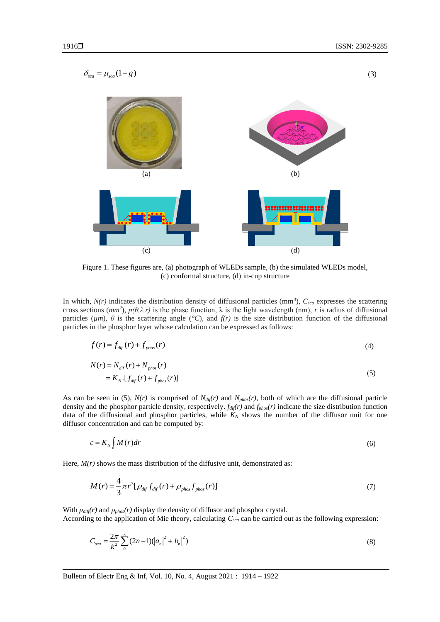

Figure 1. These figures are, (a) photograph of WLEDs sample, (b) the simulated WLEDs model, (c) conformal structure, (d) in-cup structure

In which,  $N(r)$  indicates the distribution density of diffusional particles (mm<sup>3</sup>),  $C_{sca}$  expresses the scattering cross sections ( $mm^2$ ),  $p(\theta,\lambda,r)$  is the phase function,  $\lambda$  is the light wavelength (nm), r is radius of diffusional particles  $(\mu m)$ ,  $\theta$  is the scattering angle ( $\degree$ C), and  $f(r)$  is the size distribution function of the diffusional particles in the phosphor layer whose calculation can be expressed as follows:

$$
f(r) = f_{\text{dif}}(r) + f_{\text{phos}}(r) \tag{4}
$$

$$
N(r) = Ndif(r) + Nphos(r)
$$
  
=  $K_N \cdot [fdif(r) + fphos(r)]$  (5)

As can be seen in (5),  $N(r)$  is comprised of  $N_{dif}(r)$  and  $N_{phos}(r)$ , both of which are the diffusional particle density and the phosphor particle density, respectively. *fdif(r)* and *fphos(r)* indicate the size distribution function data of the diffusional and phosphor particles, while  $K_N$  shows the number of the diffusor unit for one diffusor concentration and can be computed by:

$$
c = K_N \int M(r) dr \tag{6}
$$

Here,  $M(r)$  shows the mass distribution of the diffusive unit, demonstrated as:

$$
M(r) = \frac{4}{3}\pi r^3 [\rho_{\text{dif}} f_{\text{dif}}(r) + \rho_{\text{phos}} f_{\text{phos}}(r)]
$$
\n(7)

With *ρdiff(r)* and *ρphos(r)* display the density of diffusor and phosphor crystal. According to the application of Mie theory, calculating *Csca* can be carried out as the following expression:

$$
C_{sca} = \frac{2\pi}{k^2} \sum_{0}^{\infty} (2n-1) (|a_n|^2 + |b_n|^2)
$$
 (8)

(3)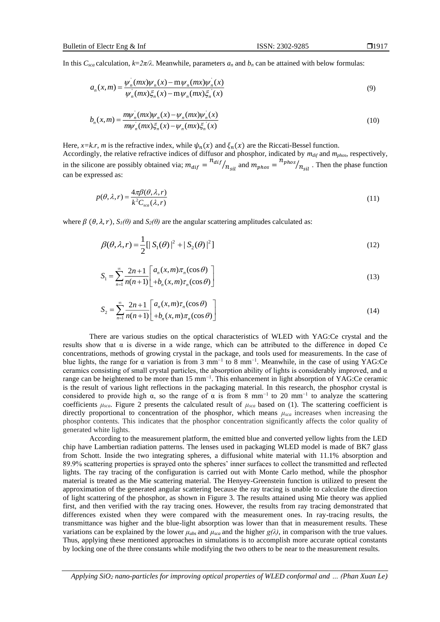In this  $C_{sca}$  calculation,  $k=2\pi/\lambda$ . Meanwhile, parameters  $a_n$  and  $b_n$  can be attained with below formulas:

$$
a_n(x,m) = \frac{\psi_n(mx)\psi_n(x) - m\psi_n(mx)\psi_n(x)}{\psi_n(mx)\xi_n(x) - m\psi_n(mx)\xi_n(x)}
$$
(9)

$$
b_n(x,m) = \frac{m\psi_n(mx)\psi_n(x) - \psi_n(mx)\psi_n(x)}{m\psi_n(mx)\xi_n(x) - \psi_n(mx)\xi_n(x)}
$$
(10)

Here, *x*=*k.r*, *m* is the refractive index, while  $\psi_n(x)$  and  $\xi_n(x)$  are the Riccati-Bessel function. Accordingly, the relative refractive indices of diffusor and phosphor, indicated by *mdif* and *mphos*, respectively, in the silicone are possibly obtained via;  $m_{dif} = \frac{n_{dif}}{n_{sil}}$  and  $m_{phos} = \frac{n_{phos}}{n_{sil}}$ . Then the phase function can be expressed as:

$$
p(\theta, \lambda, r) = \frac{4\pi\beta(\theta, \lambda, r)}{k^2 C_{sca}(\lambda, r)}
$$
(11)

where  $\beta$  ( $\theta$ ,  $\lambda$ ,  $r$ ),  $S_I(\theta)$  and  $S_I(\theta)$  are the angular scattering amplitudes calculated as:

$$
\beta(\theta, \lambda, r) = \frac{1}{2} [ |S_1(\theta)|^2 + |S_2(\theta)|^2 ]
$$
\n(12)

$$
S_1 = \sum_{n=1}^{\infty} \frac{2n+1}{n(n+1)} \left[ a_n(x,m)\pi_n(\cos\theta) \atop +b_n(x,m)\pi_n(\cos\theta) \right]
$$
(13)

$$
S_2 = \sum_{n=1}^{\infty} \frac{2n+1}{n(n+1)} \left[ a_n(x,m)\tau_n(\cos\theta) - b_n(x,m)\tau_n(\cos\theta) \right]
$$
(14)

There are various studies on the optical characteristics of WLED with YAG:Ce crystal and the results show that α is diverse in a wide range, which can be attributed to the difference in doped Ce concentrations, methods of growing crystal in the package, and tools used for measurements. In the case of blue lights, the range for  $\alpha$  variation is from 3 mm<sup>-1</sup> to 8 mm<sup>-1</sup>. Meanwhile, in the case of using YAG:Ce ceramics consisting of small crystal particles, the absorption ability of lights is considerably improved, and α range can be heightened to be more than 15 mm−1. This enhancement in light absorption of YAG:Ce ceramic is the result of various light reflections in the packaging material. In this research, the phosphor crystal is considered to provide high  $\alpha$ , so the range of  $\alpha$  is from 8 mm<sup>-1</sup> to 20 mm<sup>-1</sup> to analyze the scattering coefficients  $\mu_{sca}$ . Figure 2 presents the calculated result of  $\mu_{sca}$  based on (1). The scattering coefficient is directly proportional to concentration of the phosphor, which means *μsca* increases when increasing the phosphor contents. This indicates that the phosphor concentration significantly affects the color quality of generated white lights.

According to the measurement platform, the emitted blue and converted yellow lights from the LED chip have Lambertian radiation patterns. The lenses used in packaging WLED model is made of BK7 glass from Schott. Inside the two integrating spheres, a diffusional white material with 11.1% absorption and 89.9% scattering properties is sprayed onto the spheres' inner surfaces to collect the transmitted and reflected lights. The ray tracing of the configuration is carried out with Monte Carlo method, while the phosphor material is treated as the Mie scattering material. The Henyey-Greenstein function is utilized to present the approximation of the generated angular scattering because the ray tracing is unable to calculate the direction of light scattering of the phosphor, as shown in Figure 3. The results attained using Mie theory was applied first, and then verified with the ray tracing ones. However, the results from ray tracing demonstrated that differences existed when they were compared with the measurement ones. In ray-tracing results, the transmittance was higher and the blue-light absorption was lower than that in measurement results. These variations can be explained by the lower  $\mu_{abs}$  and  $\mu_{sea}$  and the higher  $g(\lambda)$ , in comparison with the true values. Thus, applying these mentioned approaches in simulations is to accomplish more accurate optical constants by locking one of the three constants while modifying the two others to be near to the measurement results.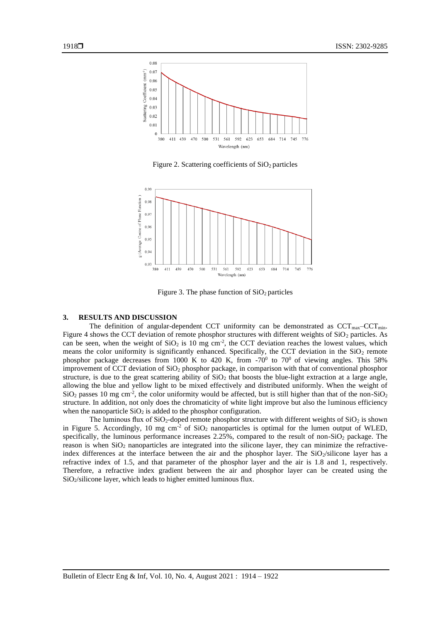

Figure 2. Scattering coefficients of  $SiO<sub>2</sub>$  particles



Figure 3. The phase function of  $SiO<sub>2</sub>$  particles

#### **3. RESULTS AND DISCUSSION**

The definition of angular-dependent CCT uniformity can be demonstrated as  $CCT_{max}-CCT_{min}$ . Figure 4 shows the CCT deviation of remote phosphor structures with different weights of  $SiO<sub>2</sub>$  particles. As can be seen, when the weight of  $SiO<sub>2</sub>$  is 10 mg cm<sup>-2</sup>, the CCT deviation reaches the lowest values, which means the color uniformity is significantly enhanced. Specifically, the CCT deviation in the  $SiO<sub>2</sub>$  remote phosphor package decreases from 1000 K to 420 K, from  $-70^0$  to  $70^0$  of viewing angles. This 58% improvement of CCT deviation of SiO<sup>2</sup> phosphor package, in comparison with that of conventional phosphor structure, is due to the great scattering ability of  $SiO<sub>2</sub>$  that boosts the blue-light extraction at a large angle, allowing the blue and yellow light to be mixed effectively and distributed uniformly. When the weight of  $SiO<sub>2</sub>$  passes 10 mg cm<sup>-2</sup>, the color uniformity would be affected, but is still higher than that of the non-SiO<sub>2</sub> structure. In addition, not only does the chromaticity of white light improve but also the luminous efficiency when the nanoparticle  $SiO<sub>2</sub>$  is added to the phosphor configuration.

The luminous flux of  $SiO<sub>2</sub>$ -doped remote phosphor structure with different weights of  $SiO<sub>2</sub>$  is shown in Figure 5. Accordingly, 10 mg  $\text{cm}^{-2}$  of SiO<sub>2</sub> nanoparticles is optimal for the lumen output of WLED, specifically, the luminous performance increases  $2.25\%$ , compared to the result of non-SiO<sub>2</sub> package. The reason is when SiO<sub>2</sub> nanoparticles are integrated into the silicone layer, they can minimize the refractiveindex differences at the interface between the air and the phosphor layer. The  $SiO<sub>2</sub>/silicone$  layer has a refractive index of 1.5, and that parameter of the phosphor layer and the air is 1.8 and 1, respectively. Therefore, a refractive index gradient between the air and phosphor layer can be created using the SiO2/silicone layer, which leads to higher emitted luminous flux.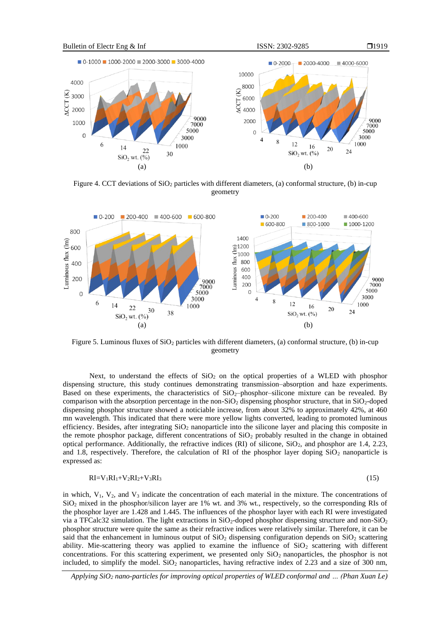



Figure 4. CCT deviations of  $SiO<sub>2</sub>$  particles with different diameters, (a) conformal structure, (b) in-cup geometry



Figure 5. Luminous fluxes of SiO<sub>2</sub> particles with different diameters, (a) conformal structure, (b) in-cup geometry

Next, to understand the effects of  $SiO<sub>2</sub>$  on the optical properties of a WLED with phosphor dispensing structure, this study continues demonstrating transmission–absorption and haze experiments. Based on these experiments, the characteristics of  $SiO<sub>2</sub>$ -phosphor–silicone mixture can be revealed. By comparison with the absorption percentage in the non- $SiO<sub>2</sub>$  dispensing phosphor structure, that in  $SiO<sub>2</sub>$ -doped dispensing phosphor structure showed a noticiable increase, from about 32% to approximately 42%, at 460 mn wavelength. This indicated that there were more yellow lights converted, leading to promoted luminous efficiency. Besides, after integrating  $SiO<sub>2</sub>$  nanoparticle into the silicone layer and placing this composite in the remote phosphor package, different concentrations of  $SiO<sub>2</sub>$  probably resulted in the change in obtained optical performance. Additionally, the refractive indices (RI) of silicone, SiO<sub>2</sub>, and phosphor are 1.4, 2.23, and 1.8, respectively. Therefore, the calculation of RI of the phosphor layer doping  $SiO<sub>2</sub>$  nanoparticle is expressed as:

$$
RI = V_1RI_1 + V_2RI_2 + V_3RI_3 \tag{15}
$$

in which,  $V_1$ ,  $V_2$ , and  $V_3$  indicate the concentration of each material in the mixture. The concentrations of SiO<sup>2</sup> mixed in the phosphor/silicon layer are 1% wt. and 3% wt., respectively, so the corresponding RIs of the phosphor layer are 1.428 and 1.445. The influences of the phosphor layer with each RI were investigated via a TFCalc32 simulation. The light extractions in  $SiO_2$ -doped phosphor dispensing structure and non- $SiO_2$ phosphor structure were quite the same as their refractive indices were relatively similar. Therefore, it can be said that the enhancement in luminous output of  $SiO<sub>2</sub>$  dispensing configuration depends on  $SiO<sub>2</sub>$  scattering ability. Mie-scattering theory was applied to examine the influence of  $SiO<sub>2</sub>$  scattering with different concentrations. For this scattering experiment, we presented only  $SiO<sub>2</sub>$  nanoparticles, the phosphor is not included, to simplify the model.  $SiO<sub>2</sub>$  nanoparticles, having refractive index of 2.23 and a size of 300 nm,

*Applying SiO<sup>2</sup> nano-particles for improving optical properties of WLED conformal and … (Phan Xuan Le)*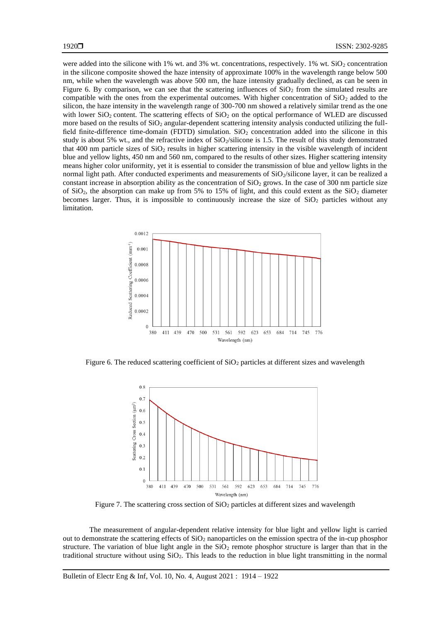were added into the silicone with 1% wt. and 3% wt. concentrations, respectively. 1% wt.  $SiO<sub>2</sub>$  concentration in the silicone composite showed the haze intensity of approximate 100% in the wavelength range below 500 nm, while when the wavelength was above 500 nm, the haze intensity gradually declined, as can be seen in Figure 6. By comparison, we can see that the scattering influences of  $SiO<sub>2</sub>$  from the simulated results are compatible with the ones from the experimental outcomes. With higher concentration of  $SiO<sub>2</sub>$  added to the silicon, the haze intensity in the wavelength range of 300-700 nm showed a relatively similar trend as the one with lower  $SiO_2$  content. The scattering effects of  $SiO_2$  on the optical performance of WLED are discussed more based on the results of SiO<sup>2</sup> angular-dependent scattering intensity analysis conducted utilizing the fullfield finite-difference time-domain (FDTD) simulation.  $SiO<sub>2</sub>$  concentration added into the silicone in this study is about 5% wt., and the refractive index of  $SiO_2/silicone$  is 1.5. The result of this study demonstrated that 400 nm particle sizes of  $SiO<sub>2</sub>$  results in higher scattering intensity in the visible wavelength of incident blue and yellow lights, 450 nm and 560 nm, compared to the results of other sizes. Higher scattering intensity means higher color uniformity, yet it is essential to consider the transmission of blue and yellow lights in the normal light path. After conducted experiments and measurements of SiO2/silicone layer, it can be realized a constant increase in absorption ability as the concentration of  $SiO<sub>2</sub>$  grows. In the case of 300 nm particle size of  $SiO<sub>2</sub>$ , the absorption can make up from 5% to 15% of light, and this could extent as the  $SiO<sub>2</sub>$  diameter becomes larger. Thus, it is impossible to continuously increase the size of  $SiO<sub>2</sub>$  particles without any limitation.



Figure 6. The reduced scattering coefficient of  $SiO<sub>2</sub>$  particles at different sizes and wavelength



Figure 7. The scattering cross section of  $SiO<sub>2</sub>$  particles at different sizes and wavelength

The measurement of angular-dependent relative intensity for blue light and yellow light is carried out to demonstrate the scattering effects of  $SiO<sub>2</sub>$  nanoparticles on the emission spectra of the in-cup phosphor structure. The variation of blue light angle in the  $SiO<sub>2</sub>$  remote phosphor structure is larger than that in the traditional structure without using  $SiO<sub>2</sub>$ . This leads to the reduction in blue light transmitting in the normal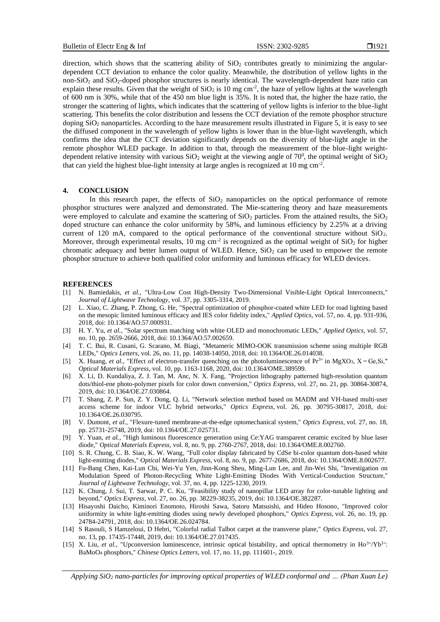direction, which shows that the scattering ability of  $SiO<sub>2</sub>$  contributes greatly to minimizing the angulardependent CCT deviation to enhance the color quality. Meanwhile, the distribution of yellow lights in the non- $SiO<sub>2</sub>$  and  $SiO<sub>2</sub>$ -doped phosphor structures is nearly identical. The wavelength-dependent haze ratio can explain these results. Given that the weight of  $SiO<sub>2</sub>$  is 10 mg cm<sup>-2</sup>, the haze of yellow lights at the wavelength of 600 nm is 30%, while that of the 450 nm blue light is 35%. It is noted that, the higher the haze ratio, the stronger the scattering of lights, which indicates that the scattering of yellow lights is inferior to the blue-light scattering. This benefits the color distribution and lessens the CCT deviation of the remote phosphor structure doping  $SiO<sub>2</sub>$  nanoparticles. According to the haze measurement results illustrated in Figure 5, it is easy to see the diffused component in the wavelength of yellow lights is lower than in the blue-light wavelength, which confirms the idea that the CCT deviation significantly depends on the diversity of blue-light angle in the remote phosphor WLED package. In addition to that, through the measurement of the blue-light weightdependent relative intensity with various  $SiO_2$  weight at the viewing angle of 70<sup>0</sup>, the optimal weight of  $SiO_2$ that can yield the highest blue-light intensity at large angles is recognized at 10 mg  $cm^{-2}$ .

# **4. CONCLUSION**

In this research paper, the effects of  $SiO<sub>2</sub>$  nanoparticles on the optical performance of remote phosphor structures were analyzed and demonstrated. The Mie-scattering theory and haze measurements were employed to calculate and examine the scattering of  $SiO<sub>2</sub>$  particles. From the attained results, the  $SiO<sub>2</sub>$ doped structure can enhance the color uniformity by 58%, and luminous efficiency by 2.25% at a driving current of 120 mA, compared to the optical performance of the conventional structure without SiO<sub>2</sub>. Moreover, through experimental results, 10 mg cm<sup>-2</sup> is recognized as the optimal weight of  $SiO<sub>2</sub>$  for higher chromatic adequacy and better lumen output of WLED. Hence,  $SiO<sub>2</sub>$  can be used to empower the remote phosphor structure to achieve both qualified color uniformity and luminous efficacy for WLED devices.

#### **REFERENCES**

- [1] N. Bamiedakis, *et al.*, "Ultra-Low Cost High-Density Two-Dimensional Visible-Light Optical Interconnects," *Journal of Lightwave Technology,* vol. 37, pp. 3305-3314, 2019.
- [2] L. Xiao, C. Zhang, P. Zhong, G. He, "Spectral optimization of phosphor-coated white LED for road lighting based on the mesopic limited luminous efficacy and IES color fidelity index," *Applied Optics,* vol. 57, no. 4, pp. 931-936, 2018, doi: 10.1364/AO.57.000931.
- [3] H. Y. Yu, *et al.*, "Solar spectrum matching with white OLED and monochromatic LEDs," *Applied Optics,* vol. 57, no. 10, pp. 2659-2666, 2018, doi: 10.1364/AO.57.002659.
- [4] T. C. Bui, R. Cusani, G. Scarano, M. Biagi, "Metameric MIMO-OOK transmission scheme using multiple RGB LEDs," *Optics Letters,* vol. 26, no. 11, pp. 14038-14050, 2018, doi: 10.1364/OE.26.014038.
- [5] X. Huang, *et al.*, "Effect of electron-transfer quenching on the photoluminescence of  $Pr^{3+}$  in MgXO<sub>3</sub>, X = Ge, Si," *Optical Materials Express*, vol. 10, pp. 1163-1168, 2020, doi: 10.1364/OME.389599.
- [6] X. Li, D. Kundaliya, Z. J. Tan, M. Anc, N. X. Fang, "Projection lithography patterned high-resolution quantum dots/thiol-ene photo-polymer pixels for color down conversion," *Optics Express,* vol. 27, no. 21, pp. 30864-30874, 2019, doi: 10.1364/OE.27.030864.
- [7] T. Shang, Z. P. Sun, Z. Y. Dong, Q. Li, "Network selection method based on MADM and VH-based multi-user access scheme for indoor VLC hybrid networks," *Optics Express,* vol. 26, pp. 30795-30817, 2018, doi: 10.1364/OE.26.030795.
- [8] V. Dumont, *et al.*, "Flexure-tuned membrane-at-the-edge optomechanical system," *Optics Express,* vol. 27, no. 18, pp. 25731-25748, 2019, doi: 10.1364/OE.27.025731.
- [9] Y. Yuan, *et al.*, "High luminous fluorescence generation using Ce:YAG transparent ceramic excited by blue laser diode," *Optical Materials Express,* vol. 8, no. 9, pp. 2760-2767, 2018, doi: 10.1364/OME.8.002760.
- [10] S. R. Chung, C. B. Siao, K. W. Wang, "Full color display fabricated by CdSe bi-color quantum dots-based white light-emitting diodes," *Optical Materials Express,* vol. 8, no. 9, pp. 2677-2686, 2018, doi: 10.1364/OME.8.002677.
- [11] Fu-Bang Chen, Kai-Lun Chi, Wei-Yu Yen, Jinn-Kong Sheu, Ming-Lun Lee, and Jin-Wei Shi, "Investigation on Modulation Speed of Photon-Recycling White Light-Emitting Diodes With Vertical-Conduction Structure," *Journal of Lightwave Technology,* vol. 37, no. 4, pp. 1225-1230, 2019.
- [12] K. Chung, J. Sui, T. Sarwar, P. C. Ku, "Feasibility study of nanopillar LED array for color-tunable lighting and beyond," *Optics Express,* vol. 27, no. 26, pp. 38229-38235, 2019, doi: 10.1364/OE.382287.
- [13] Hisayoshi Daicho, Kiminori Enomoto, Hiroshi Sawa, Satoru Matsuishi, and Hideo Hosono, "Improved color uniformity in white light-emitting diodes using newly developed phosphors," *Optics Express,* vol. 26, no. 19, pp. 24784-24791, 2018, doi: 10.1364/OE.26.024784.
- [14] S Rasouli, S Hamzeloui, D Hebri, "Colorful radial Talbot carpet at the transverse plane," *Optics Express,* vol. 27, no. 13, pp. 17435-17448, 2019, doi: 10.1364/OE.27.017435.
- [15] X. Liu, *et al.*, "Upconversion luminescence, intrinsic optical bistability, and optical thermometry in Ho<sup>3+</sup>/Yb<sup>3+</sup>: BaMoO<sup>4</sup> phosphors," *Chinese Optics Letters*, vol. 17, no. 11, pp. 111601-, 2019.

*Applying SiO<sup>2</sup> nano-particles for improving optical properties of WLED conformal and … (Phan Xuan Le)*